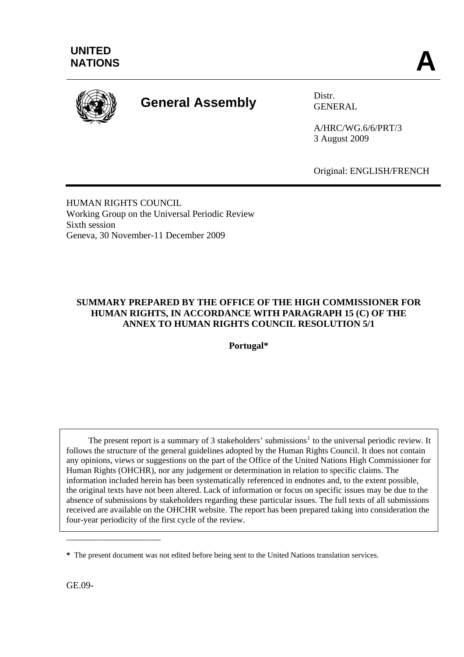

# **General Assembly** Distr.

GENERAL

A/HRC/WG.6/6/PRT/3 3 August 2009

Original: ENGLISH/FRENCH

HUMAN RIGHTS COUNCIL Working Group on the Universal Periodic Review Sixth session Geneva, 30 November-11 December 2009

## **SUMMARY PREPARED BY THE OFFICE OF THE HIGH COMMISSIONER FOR HUMAN RIGHTS, IN ACCORDANCE WITH PARAGRAPH 15 (C) OF THE ANNEX TO HUMAN RIGHTS COUNCIL RESOLUTION 5/1**

**Portugal\*** 

The present report is a summary of 3 stakeholders' submissions<sup>[1](#page-13-0)</sup> to the universal periodic review. It follows the structure of the general guidelines adopted by the Human Rights Council. It does not contain any opinions, views or suggestions on the part of the Office of the United Nations High Commissioner for Human Rights (OHCHR), nor any judgement or determination in relation to specific claims. The information included herein has been systematically referenced in endnotes and, to the extent possible, the original texts have not been altered. Lack of information or focus on specific issues may be due to the absence of submissions by stakeholders regarding these particular issues. The full texts of all submissions received are available on the OHCHR website. The report has been prepared taking into consideration the four-year periodicity of the first cycle of the review.

GE.09-

\_\_\_\_\_\_\_\_\_\_\_\_\_\_\_\_\_\_\_\_\_\_

**<sup>\*</sup>** The present document was not edited before being sent to the United Nations translation services.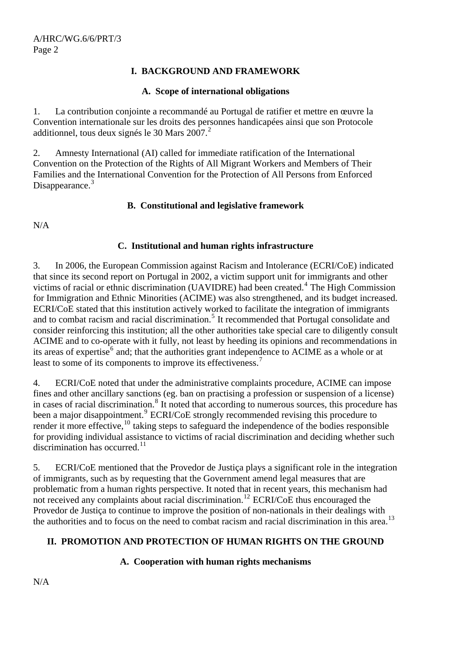### **I. BACKGROUND AND FRAMEWORK**

#### **A. Scope of international obligations**

1. La contribution conjointe a recommandé au Portugal de ratifier et mettre en œuvre la Convention internationale sur les droits des personnes handicapées ainsi que son Protocole additionnel, tous deux signés le 30 Mars  $2007<sup>2</sup>$  $2007<sup>2</sup>$ 

2. Amnesty International (AI) called for immediate ratification of the International Convention on the Protection of the Rights of All Migrant Workers and Members of Their Families and the International Convention for the Protection of All Persons from Enforced Disappearance.<sup>[3](#page-13-1)</sup>

#### **B. Constitutional and legislative framework**

N/A

#### **C. Institutional and human rights infrastructure**

3. In 2006, the European Commission against Racism and Intolerance (ECRI/CoE) indicated that since its second report on Portugal in 2002, a victim support unit for immigrants and other victims of racial or ethnic discrimination (UAVIDRE) had been created.<sup>[4](#page-13-1)</sup> The High Commission for Immigration and Ethnic Minorities (ACIME) was also strengthened, and its budget increased. ECRI/CoE stated that this institution actively worked to facilitate the integration of immigrants and to combat racism and racial discrimination.<sup>[5](#page-13-1)</sup> It recommended that Portugal consolidate and consider reinforcing this institution; all the other authorities take special care to diligently consult ACIME and to co-operate with it fully, not least by heeding its opinions and recommendations in its areas of expertise<sup>[6](#page-13-1)</sup> and; that the authorities grant independence to ACIME as a whole or at least to some of its components to improve its effectiveness.<sup>[7](#page-13-1)</sup>

4. ECRI/CoE noted that under the administrative complaints procedure, ACIME can impose fines and other ancillary sanctions (eg. ban on practising a profession or suspension of a license) in cases of racial discrimination.<sup>[8](#page-13-1)</sup> It noted that according to numerous sources, this procedure has been a major disappointment.<sup>[9](#page-13-1)</sup> ECRI/CoE strongly recommended revising this procedure to render it more effective,  $^{10}$  $^{10}$  $^{10}$  taking steps to safeguard the independence of the bodies responsible for providing individual assistance to victims of racial discrimination and deciding whether such discrimination has occurred.<sup>[11](#page-13-1)</sup>

5. ECRI/CoE mentioned that the Provedor de Justiça plays a significant role in the integration of immigrants, such as by requesting that the Government amend legal measures that are problematic from a human rights perspective. It noted that in recent years, this mechanism had not received any complaints about racial discrimination.<sup>[12](#page-13-1)</sup> ECRI/CoE thus encouraged the Provedor de Justiça to continue to improve the position of non-nationals in their dealings with the authorities and to focus on the need to combat racism and racial discrimination in this area.<sup>[13](#page-13-1)</sup>

## **II. PROMOTION AND PROTECTION OF HUMAN RIGHTS ON THE GROUND**

#### **A. Cooperation with human rights mechanisms**

N/A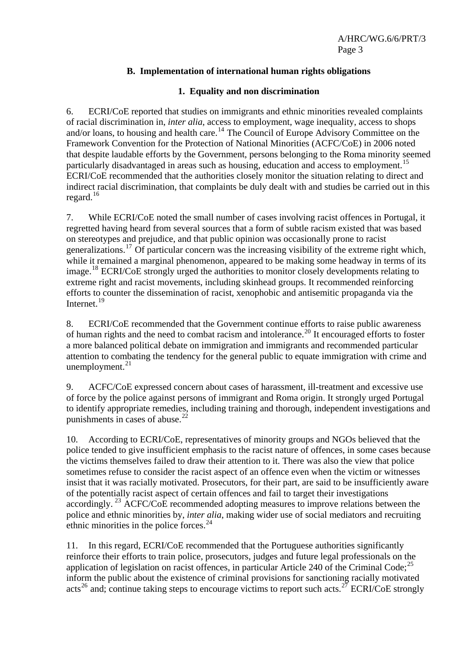## **B. Implementation of international human rights obligations**

#### **1. Equality and non discrimination**

6. ECRI/CoE reported that studies on immigrants and ethnic minorities revealed complaints of racial discrimination in, *inter alia*, access to employment, wage inequality, access to shops and/or loans, to housing and health care.<sup>[14](#page-13-1)</sup> The Council of Europe Advisory Committee on the Framework Convention for the Protection of National Minorities (ACFC/CoE) in 2006 noted that despite laudable efforts by the Government, persons belonging to the Roma minority seemed particularly disadvantaged in areas such as housing, education and access to employment.<sup>[15](#page-13-1)</sup> ECRI/CoE recommended that the authorities closely monitor the situation relating to direct and indirect racial discrimination, that complaints be duly dealt with and studies be carried out in this regard.<sup>[16](#page-13-1)</sup>

7. While ECRI/CoE noted the small number of cases involving racist offences in Portugal, it regretted having heard from several sources that a form of subtle racism existed that was based on stereotypes and prejudice, and that public opinion was occasionally prone to racist generalizations.<sup>[17](#page-13-1)</sup> Of particular concern was the increasing visibility of the extreme right which, while it remained a marginal phenomenon, appeared to be making some headway in terms of its image.[18](#page-13-1) ECRI/CoE strongly urged the authorities to monitor closely developments relating to extreme right and racist movements, including skinhead groups. It recommended reinforcing efforts to counter the dissemination of racist, xenophobic and antisemitic propaganda via the Internet.<sup>[19](#page-13-1)</sup>

8. ECRI/CoE recommended that the Government continue efforts to raise public awareness of human rights and the need to combat racism and intolerance.<sup>[20](#page-13-1)</sup> It encouraged efforts to foster a more balanced political debate on immigration and immigrants and recommended particular attention to combating the tendency for the general public to equate immigration with crime and unemployment. $^{21}$  $^{21}$  $^{21}$ 

9. ACFC/CoE expressed concern about cases of harassment, ill-treatment and excessive use of force by the police against persons of immigrant and Roma origin. It strongly urged Portugal to identify appropriate remedies, including training and thorough, independent investigations and punishments in cases of abuse. $^{22}$  $^{22}$  $^{22}$ 

10. According to ECRI/CoE, representatives of minority groups and NGOs believed that the police tended to give insufficient emphasis to the racist nature of offences, in some cases because the victims themselves failed to draw their attention to it. There was also the view that police sometimes refuse to consider the racist aspect of an offence even when the victim or witnesses insist that it was racially motivated. Prosecutors, for their part, are said to be insufficiently aware of the potentially racist aspect of certain offences and fail to target their investigations accordingly.<sup>[23](#page-13-1)</sup> ACFC/CoE recommended adopting measures to improve relations between the police and ethnic minorities by, *inter alia*, making wider use of social mediators and recruiting ethnic minorities in the police forces.<sup>[24](#page-13-1)</sup>

11. In this regard, ECRI/CoE recommended that the Portuguese authorities significantly reinforce their efforts to train police, prosecutors, judges and future legal professionals on the application of legislation on racist offences, in particular Article 240 of the Criminal Code;<sup>[25](#page-13-1)</sup> inform the public about the existence of criminal provisions for sanctioning racially motivated acts<sup>[26](#page-13-1)</sup> and; continue taking steps to encourage victims to report such acts.<sup>[27](#page-13-1)</sup> ECRI/CoE strongly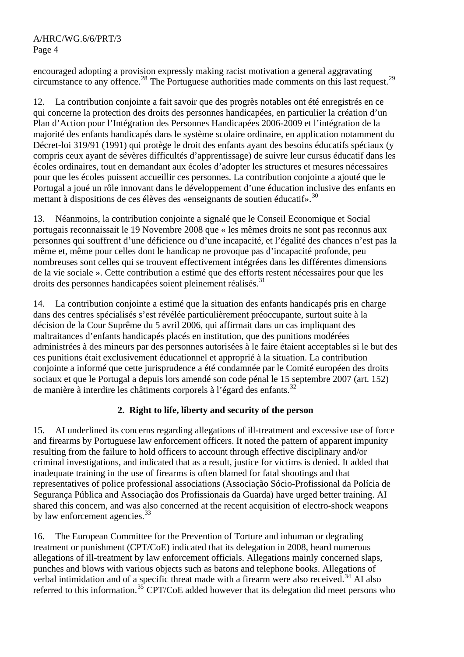encouraged adopting a provision expressly making racist motivation a general aggravating circumstance to any offence.[28](#page-13-1) The Portuguese authorities made comments on this last request.[29](#page-13-1)

12. La contribution conjointe a fait savoir que des progrès notables ont été enregistrés en ce qui concerne la protection des droits des personnes handicapées, en particulier la création d'un Plan d'Action pour l'Intégration des Personnes Handicapées 2006-2009 et l'intégration de la majorité des enfants handicapés dans le système scolaire ordinaire, en application notamment du Décret-loi 319/91 (1991) qui protège le droit des enfants ayant des besoins éducatifs spéciaux (y compris ceux ayant de sévères difficultés d'apprentissage) de suivre leur cursus éducatif dans les écoles ordinaires, tout en demandant aux écoles d'adopter les structures et mesures nécessaires pour que les écoles puissent accueillir ces personnes. La contribution conjointe a ajouté que le Portugal a joué un rôle innovant dans le développement d'une éducation inclusive des enfants en mettant à dispositions de ces élèves des «enseignants de soutien éducatif».<sup>[30](#page-13-1)</sup>

13. Néanmoins, la contribution conjointe a signalé que le Conseil Economique et Social portugais reconnaissait le 19 Novembre 2008 que « les mêmes droits ne sont pas reconnus aux personnes qui souffrent d'une déficience ou d'une incapacité, et l'égalité des chances n'est pas la même et, même pour celles dont le handicap ne provoque pas d'incapacité profonde, peu nombreuses sont celles qui se trouvent effectivement intégrées dans les différentes dimensions de la vie sociale ». Cette contribution a estimé que des efforts restent nécessaires pour que les droits des personnes handicapées soient pleinement réalisés.<sup>[31](#page-13-1)</sup>

14. La contribution conjointe a estimé que la situation des enfants handicapés pris en charge dans des centres spécialisés s'est révélée particulièrement préoccupante, surtout suite à la décision de la Cour Suprême du 5 avril 2006, qui affirmait dans un cas impliquant des maltraitances d'enfants handicapés placés en institution, que des punitions modérées administrées à des mineurs par des personnes autorisées à le faire étaient acceptables si le but des ces punitions était exclusivement éducationnel et approprié à la situation. La contribution conjointe a informé que cette jurisprudence a été condamnée par le Comité européen des droits sociaux et que le Portugal a depuis lors amendé son code pénal le 15 septembre 2007 (art. 152) de manière à interdire les châtiments corporels à l'égard des enfants.<sup>[32](#page-13-1)</sup>

## **2. Right to life, liberty and security of the person**

15. AI underlined its concerns regarding allegations of ill-treatment and excessive use of force and firearms by Portuguese law enforcement officers. It noted the pattern of apparent impunity resulting from the failure to hold officers to account through effective disciplinary and/or criminal investigations, and indicated that as a result, justice for victims is denied. It added that inadequate training in the use of firearms is often blamed for fatal shootings and that representatives of police professional associations (Associação Sócio-Profissional da Polícia de Segurança Pública and Associação dos Profissionais da Guarda) have urged better training. AI shared this concern, and was also concerned at the recent acquisition of electro-shock weapons by law enforcement agencies.<sup>[33](#page-13-1)</sup>

16. The European Committee for the Prevention of Torture and inhuman or degrading treatment or punishment (CPT/CoE) indicated that its delegation in 2008, heard numerous allegations of ill-treatment by law enforcement officials. Allegations mainly concerned slaps, punches and blows with various objects such as batons and telephone books. Allegations of verbal intimidation and of a specific threat made with a firearm were also received.<sup>[34](#page-13-1)</sup> AI also referred to this information.<sup>[35](#page-13-1)</sup> CPT/CoE added however that its delegation did meet persons who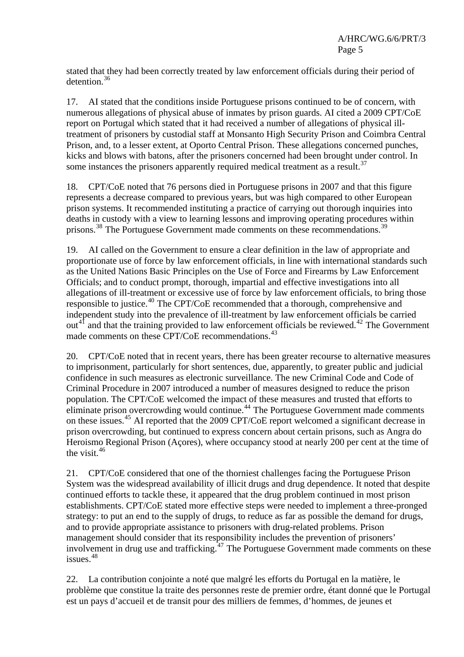stated that they had been correctly treated by law enforcement officials during their period of detention.<sup>[36](#page-13-1)</sup>

17. AI stated that the conditions inside Portuguese prisons continued to be of concern, with numerous allegations of physical abuse of inmates by prison guards. AI cited a 2009 CPT/CoE report on Portugal which stated that it had received a number of allegations of physical illtreatment of prisoners by custodial staff at Monsanto High Security Prison and Coimbra Central Prison, and, to a lesser extent, at Oporto Central Prison. These allegations concerned punches, kicks and blows with batons, after the prisoners concerned had been brought under control. In some instances the prisoners apparently required medical treatment as a result.<sup>[37](#page-13-1)</sup>

18. CPT/CoE noted that 76 persons died in Portuguese prisons in 2007 and that this figure represents a decrease compared to previous years, but was high compared to other European prison systems. It recommended instituting a practice of carrying out thorough inquiries into deaths in custody with a view to learning lessons and improving operating procedures within prisons.<sup>[38](#page-13-1)</sup> The Portuguese Government made comments on these recommendations.<sup>[39](#page-13-1)</sup>

19. AI called on the Government to ensure a clear definition in the law of appropriate and proportionate use of force by law enforcement officials, in line with international standards such as the United Nations Basic Principles on the Use of Force and Firearms by Law Enforcement Officials; and to conduct prompt, thorough, impartial and effective investigations into all allegations of ill-treatment or excessive use of force by law enforcement officials, to bring those responsible to justice.<sup>[40](#page-13-1)</sup> The CPT/CoE recommended that a thorough, comprehensive and independent study into the prevalence of ill-treatment by law enforcement officials be carried out<sup>[41](#page-13-1)</sup> and that the training provided to law enforcement officials be reviewed.<sup>[42](#page-13-1)</sup> The Government made comments on these CPT/CoE recommendations.<sup>[43](#page-13-1)</sup>

20. CPT/CoE noted that in recent years, there has been greater recourse to alternative measures to imprisonment, particularly for short sentences, due, apparently, to greater public and judicial confidence in such measures as electronic surveillance. The new Criminal Code and Code of Criminal Procedure in 2007 introduced a number of measures designed to reduce the prison population. The CPT/CoE welcomed the impact of these measures and trusted that efforts to eliminate prison overcrowding would continue.<sup>[44](#page-13-1)</sup> The Portuguese Government made comments on these issues.<sup>[45](#page-13-1)</sup> AI reported that the 2009 CPT/CoE report welcomed a significant decrease in prison overcrowding, but continued to express concern about certain prisons, such as Angra do Heroismo Regional Prison (Açores), where occupancy stood at nearly 200 per cent at the time of the visit.<sup>[46](#page-13-1)</sup>

21. CPT/CoE considered that one of the thorniest challenges facing the Portuguese Prison System was the widespread availability of illicit drugs and drug dependence. It noted that despite continued efforts to tackle these, it appeared that the drug problem continued in most prison establishments. CPT/CoE stated more effective steps were needed to implement a three-pronged strategy: to put an end to the supply of drugs, to reduce as far as possible the demand for drugs, and to provide appropriate assistance to prisoners with drug-related problems. Prison management should consider that its responsibility includes the prevention of prisoners' involvement in drug use and trafficking.<sup>[47](#page-13-1)</sup> The Portuguese Government made comments on these issues.[48](#page-13-1)

22. La contribution conjointe a noté que malgré les efforts du Portugal en la matière, le problème que constitue la traite des personnes reste de premier ordre, étant donné que le Portugal est un pays d'accueil et de transit pour des milliers de femmes, d'hommes, de jeunes et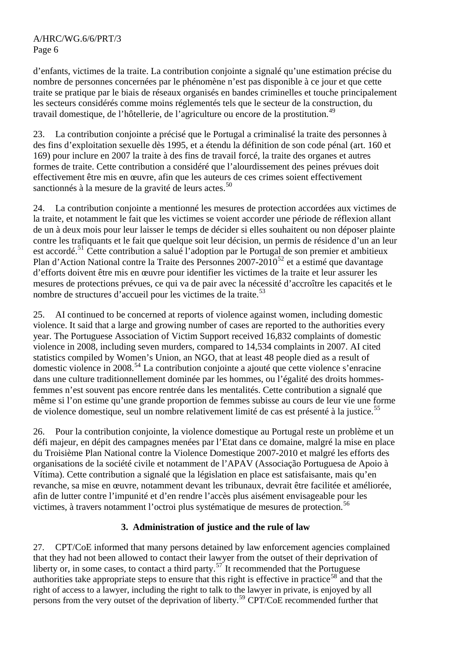d'enfants, victimes de la traite. La contribution conjointe a signalé qu'une estimation précise du nombre de personnes concernées par le phénomène n'est pas disponible à ce jour et que cette traite se pratique par le biais de réseaux organisés en bandes criminelles et touche principalement les secteurs considérés comme moins réglementés tels que le secteur de la construction, du travail domestique, de l'hôtellerie, de l'agriculture ou encore de la prostitution.<sup>[49](#page-13-1)</sup>

23. La contribution conjointe a précisé que le Portugal a criminalisé la traite des personnes à des fins d'exploitation sexuelle dès 1995, et a étendu la définition de son code pénal (art. 160 et 169) pour inclure en 2007 la traite à des fins de travail forcé, la traite des organes et autres formes de traite. Cette contribution a considéré que l'alourdissement des peines prévues doit effectivement être mis en œuvre, afin que les auteurs de ces crimes soient effectivement sanctionnés à la mesure de la gravité de leurs actes.<sup>[50](#page-13-1)</sup>

24. La contribution conjointe a mentionné les mesures de protection accordées aux victimes de la traite, et notamment le fait que les victimes se voient accorder une période de réflexion allant de un à deux mois pour leur laisser le temps de décider si elles souhaitent ou non déposer plainte contre les trafiquants et le fait que quelque soit leur décision, un permis de résidence d'un an leur est accordé.[51](#page-13-1) Cette contribution a salué l'adoption par le Portugal de son premier et ambitieux Plan d'Action National contre la Traite des Personnes 2007-2010<sup>[52](#page-13-1)</sup> et a estimé que davantage d'efforts doivent être mis en œuvre pour identifier les victimes de la traite et leur assurer les mesures de protections prévues, ce qui va de pair avec la nécessité d'accroître les capacités et le nombre de structures d'accueil pour les victimes de la traite.<sup>[53](#page-13-1)</sup>

25. AI continued to be concerned at reports of violence against women, including domestic violence. It said that a large and growing number of cases are reported to the authorities every year. The Portuguese Association of Victim Support received 16,832 complaints of domestic violence in 2008, including seven murders, compared to 14,534 complaints in 2007. AI cited statistics compiled by Women's Union, an NGO, that at least 48 people died as a result of domestic violence in 2008.[54](#page-13-1) La contribution conjointe a ajouté que cette violence s'enracine dans une culture traditionnellement dominée par les hommes, ou l'égalité des droits hommesfemmes n'est souvent pas encore rentrée dans les mentalités. Cette contribution a signalé que même si l'on estime qu'une grande proportion de femmes subisse au cours de leur vie une forme de violence domestique, seul un nombre relativement limité de cas est présenté à la justice.<sup>[55](#page-13-1)</sup>

26. Pour la contribution conjointe, la violence domestique au Portugal reste un problème et un défi majeur, en dépit des campagnes menées par l'Etat dans ce domaine, malgré la mise en place du Troisième Plan National contre la Violence Domestique 2007-2010 et malgré les efforts des organisations de la société civile et notamment de l'APAV (Associação Portuguesa de Apoio à Vítima). Cette contribution a signalé que la législation en place est satisfaisante, mais qu'en revanche, sa mise en œuvre, notamment devant les tribunaux, devrait être facilitée et améliorée, afin de lutter contre l'impunité et d'en rendre l'accès plus aisément envisageable pour les victimes, à travers notamment l'octroi plus systématique de mesures de protection.[56](#page-13-1)

## **3. Administration of justice and the rule of law**

27. CPT/CoE informed that many persons detained by law enforcement agencies complained that they had not been allowed to contact their lawyer from the outset of their deprivation of liberty or, in some cases, to contact a third party.<sup>[57](#page-13-1)</sup> It recommended that the Portuguese authorities take appropriate steps to ensure that this right is effective in practice<sup>[58](#page-13-1)</sup> and that the right of access to a lawyer, including the right to talk to the lawyer in private, is enjoyed by all persons from the very outset of the deprivation of liberty.<sup>[59](#page-13-1)</sup> CPT/CoE recommended further that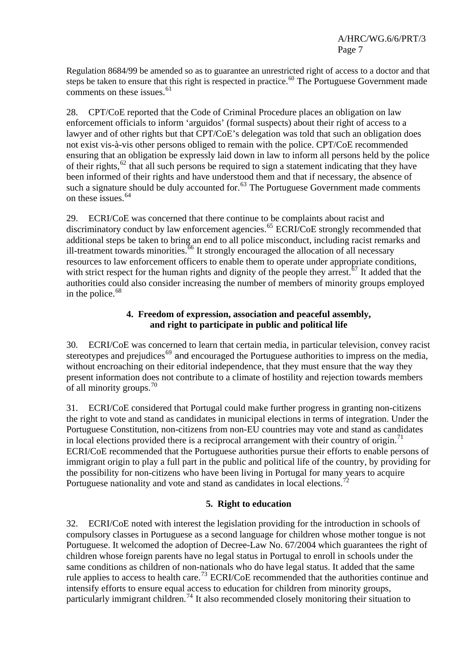Regulation 8684/99 be amended so as to guarantee an unrestricted right of access to a doctor and that steps be taken to ensure that this right is respected in practice.<sup>[60](#page-13-1)</sup> The Portuguese Government made comments on these issues.<sup>[61](#page-13-1)</sup>

28. CPT/CoE reported that the Code of Criminal Procedure places an obligation on law enforcement officials to inform 'arguidos' (formal suspects) about their right of access to a lawyer and of other rights but that CPT/CoE's delegation was told that such an obligation does not exist vis-à-vis other persons obliged to remain with the police. CPT/CoE recommended ensuring that an obligation be expressly laid down in law to inform all persons held by the police of their rights,  $62$  that all such persons be required to sign a statement indicating that they have been informed of their rights and have understood them and that if necessary, the absence of such a signature should be duly accounted for.<sup>[63](#page-13-1)</sup> The Portuguese Government made comments on these issues.<sup>[64](#page-13-1)</sup>

29. ECRI/CoE was concerned that there continue to be complaints about racist and discriminatory conduct by law enforcement agencies.<sup>[65](#page-13-1)</sup> ECRI/CoE strongly recommended that additional steps be taken to bring an end to all police misconduct, including racist remarks and ill-treatment towards minorities.<sup>[66](#page-13-1)</sup> It strongly encouraged the allocation of all necessary resources to law enforcement officers to enable them to operate under appropriate conditions, with strict respect for the human rights and dignity of the people they arrest.<sup>[67](#page-13-1)</sup> It added that the authorities could also consider increasing the number of members of minority groups employed in the police. $68$ 

### **4. Freedom of expression, association and peaceful assembly, and right to participate in public and political life**

30. ECRI/CoE was concerned to learn that certain media, in particular television, convey racist stereotypes and prejudices<sup>[69](#page-13-1)</sup> and encouraged the Portuguese authorities to impress on the media, without encroaching on their editorial independence, that they must ensure that the way they present information does not contribute to a climate of hostility and rejection towards members of all minority groups.<sup>[70](#page-13-1)</sup>

31. ECRI/CoE considered that Portugal could make further progress in granting non-citizens the right to vote and stand as candidates in municipal elections in terms of integration. Under the Portuguese Constitution, non-citizens from non-EU countries may vote and stand as candidates in local elections provided there is a reciprocal arrangement with their country of origin.<sup>[71](#page-13-1)</sup> ECRI/CoE recommended that the Portuguese authorities pursue their efforts to enable persons of immigrant origin to play a full part in the public and political life of the country, by providing for the possibility for non-citizens who have been living in Portugal for many years to acquire Portuguese nationality and vote and stand as candidates in local elections.<sup>7</sup>

## **5. Right to education**

32. ECRI/CoE noted with interest the legislation providing for the introduction in schools of compulsory classes in Portuguese as a second language for children whose mother tongue is not Portuguese. It welcomed the adoption of Decree-Law No. 67/2004 which guarantees the right of children whose foreign parents have no legal status in Portugal to enroll in schools under the same conditions as children of non-nationals who do have legal status. It added that the same rule applies to access to health care.<sup>[73](#page-13-1)</sup> ECRI/CoE recommended that the authorities continue and intensify efforts to ensure equal access to education for children from minority groups, particularly immigrant children.<sup>[74](#page-13-1)</sup> It also recommended closely monitoring their situation to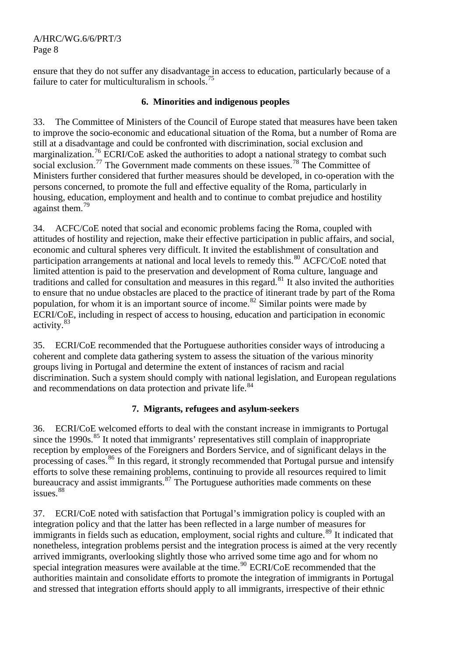ensure that they do not suffer any disadvantage in access to education, particularly because of a failure to cater for multiculturalism in schools.<sup>[75](#page-13-1)</sup>

### **6. Minorities and indigenous peoples**

33. The Committee of Ministers of the Council of Europe stated that measures have been taken to improve the socio-economic and educational situation of the Roma, but a number of Roma are still at a disadvantage and could be confronted with discrimination, social exclusion and marginalization.<sup>[76](#page-13-1)</sup> ECRI/CoE asked the authorities to adopt a national strategy to combat such social exclusion.<sup>[77](#page-13-1)</sup> The Government made comments on these issues.<sup>78</sup> The Committee of Ministers further considered that further measures should be developed, in co-operation with the persons concerned, to promote the full and effective equality of the Roma, particularly in housing, education, employment and health and to continue to combat prejudice and hostility against them.<sup>[79](#page-13-1)</sup>

34. ACFC/CoE noted that social and economic problems facing the Roma, coupled with attitudes of hostility and rejection, make their effective participation in public affairs, and social, economic and cultural spheres very difficult. It invited the establishment of consultation and participation arrangements at national and local levels to remedy this.<sup>[80](#page-13-1)</sup> ACFC/CoE noted that limited attention is paid to the preservation and development of Roma culture, language and traditions and called for consultation and measures in this regard.<sup>[81](#page-13-1)</sup> It also invited the authorities to ensure that no undue obstacles are placed to the practice of itinerant trade by part of the Roma population, for whom it is an important source of income.<sup>[82](#page-13-1)</sup> Similar points were made by ECRI/CoE, including in respect of access to housing, education and participation in economic activity.[83](#page-13-1)

35. ECRI/CoE recommended that the Portuguese authorities consider ways of introducing a coherent and complete data gathering system to assess the situation of the various minority groups living in Portugal and determine the extent of instances of racism and racial discrimination. Such a system should comply with national legislation, and European regulations and recommendations on data protection and private life.<sup>[84](#page-13-1)</sup>

#### **7. Migrants, refugees and asylum-seekers**

36. ECRI/CoE welcomed efforts to deal with the constant increase in immigrants to Portugal since the  $1990s$ <sup>[85](#page-13-1)</sup>. It noted that immigrants' representatives still complain of inappropriate reception by employees of the Foreigners and Borders Service, and of significant delays in the processing of cases.<sup>[86](#page-13-1)</sup> In this regard, it strongly recommended that Portugal pursue and intensify efforts to solve these remaining problems, continuing to provide all resources required to limit bureaucracy and assist immigrants.<sup>[87](#page-13-1)</sup> The Portuguese authorities made comments on these issues.<sup>[88](#page-13-1)</sup>

37. ECRI/CoE noted with satisfaction that Portugal's immigration policy is coupled with an integration policy and that the latter has been reflected in a large number of measures for immigrants in fields such as education, employment, social rights and culture.<sup>[89](#page-13-1)</sup> It indicated that nonetheless, integration problems persist and the integration process is aimed at the very recently arrived immigrants, overlooking slightly those who arrived some time ago and for whom no special integration measures were available at the time.<sup>[90](#page-13-1)</sup> ECRI/CoE recommended that the authorities maintain and consolidate efforts to promote the integration of immigrants in Portugal and stressed that integration efforts should apply to all immigrants, irrespective of their ethnic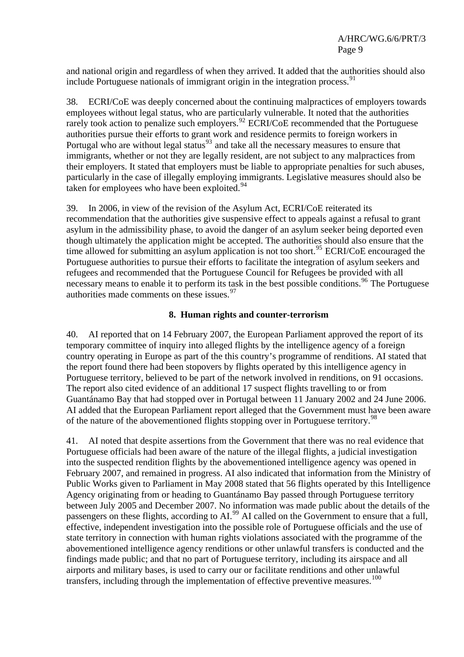and national origin and regardless of when they arrived. It added that the authorities should also include Portuguese nationals of immigrant origin in the integration process.  $91$ 

38. ECRI/CoE was deeply concerned about the continuing malpractices of employers towards employees without legal status, who are particularly vulnerable. It noted that the authorities rarely took action to penalize such employers.<sup>[92](#page-13-1)</sup> ECRI/CoE recommended that the Portuguese authorities pursue their efforts to grant work and residence permits to foreign workers in Portugal who are without legal status<sup>[93](#page-13-1)</sup> and take all the necessary measures to ensure that immigrants, whether or not they are legally resident, are not subject to any malpractices from their employers. It stated that employers must be liable to appropriate penalties for such abuses, particularly in the case of illegally employing immigrants. Legislative measures should also be taken for employees who have been exploited.<sup>[94](#page-13-1)</sup>

39. In 2006, in view of the revision of the Asylum Act, ECRI/CoE reiterated its recommendation that the authorities give suspensive effect to appeals against a refusal to grant asylum in the admissibility phase, to avoid the danger of an asylum seeker being deported even though ultimately the application might be accepted. The authorities should also ensure that the time allowed for submitting an asylum application is not too short.<sup>[95](#page-13-1)</sup> ECRI/CoE encouraged the Portuguese authorities to pursue their efforts to facilitate the integration of asylum seekers and refugees and recommended that the Portuguese Council for Refugees be provided with all necessary means to enable it to perform its task in the best possible conditions.<sup>[96](#page-13-1)</sup> The Portuguese authorities made comments on these issues.<sup>[97](#page-13-1)</sup>

### **8. Human rights and counter-terrorism**

40. AI reported that on 14 February 2007, the European Parliament approved the report of its temporary committee of inquiry into alleged flights by the intelligence agency of a foreign country operating in Europe as part of the this country's programme of renditions. AI stated that the report found there had been stopovers by flights operated by this intelligence agency in Portuguese territory, believed to be part of the network involved in renditions, on 91 occasions. The report also cited evidence of an additional 17 suspect flights travelling to or from Guantánamo Bay that had stopped over in Portugal between 11 January 2002 and 24 June 2006. AI added that the European Parliament report alleged that the Government must have been aware of the nature of the abovementioned flights stopping over in Portuguese territory.<sup>[98](#page-13-1)</sup>

41. AI noted that despite assertions from the Government that there was no real evidence that Portuguese officials had been aware of the nature of the illegal flights, a judicial investigation into the suspected rendition flights by the abovementioned intelligence agency was opened in February 2007, and remained in progress. AI also indicated that information from the Ministry of Public Works given to Parliament in May 2008 stated that 56 flights operated by this Intelligence Agency originating from or heading to Guantánamo Bay passed through Portuguese territory between July 2005 and December 2007. No information was made public about the details of the passengers on these flights, according to AI.<sup>[99](#page-13-1)</sup> AI called on the Government to ensure that a full, effective, independent investigation into the possible role of Portuguese officials and the use of state territory in connection with human rights violations associated with the programme of the abovementioned intelligence agency renditions or other unlawful transfers is conducted and the findings made public; and that no part of Portuguese territory, including its airspace and all airports and military bases, is used to carry our or facilitate renditions and other unlawful transfers, including through the implementation of effective preventive measures.<sup>[100](#page-13-1)</sup>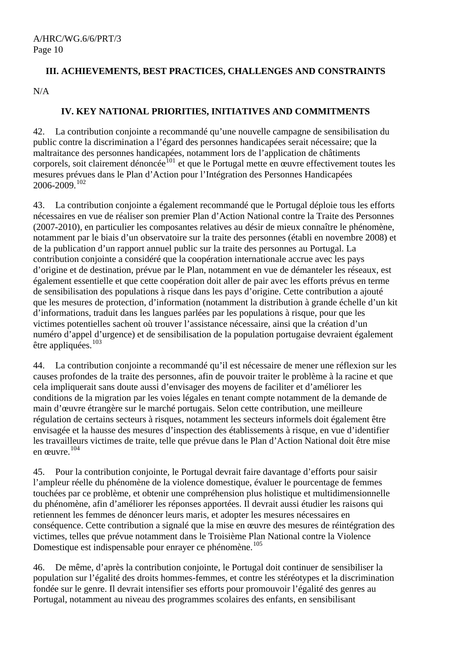## **III. ACHIEVEMENTS, BEST PRACTICES, CHALLENGES AND CONSTRAINTS**

N/A

## **IV. KEY NATIONAL PRIORITIES, INITIATIVES AND COMMITMENTS**

42. La contribution conjointe a recommandé qu'une nouvelle campagne de sensibilisation du public contre la discrimination a l'égard des personnes handicapées serait nécessaire; que la maltraitance des personnes handicapées, notamment lors de l'application de châtiments corporels, soit clairement dénoncée<sup>[101](#page-13-1)</sup> et que le Portugal mette en œuvre effectivement toutes les mesures prévues dans le Plan d'Action pour l'Intégration des Personnes Handicapées 2006-2009.[102](#page-13-1)

43. La contribution conjointe a également recommandé que le Portugal déploie tous les efforts nécessaires en vue de réaliser son premier Plan d'Action National contre la Traite des Personnes (2007-2010), en particulier les composantes relatives au désir de mieux connaître le phénomène, notamment par le biais d'un observatoire sur la traite des personnes (établi en novembre 2008) et de la publication d'un rapport annuel public sur la traite des personnes au Portugal. La contribution conjointe a considéré que la coopération internationale accrue avec les pays d'origine et de destination, prévue par le Plan, notamment en vue de démanteler les réseaux, est également essentielle et que cette coopération doit aller de pair avec les efforts prévus en terme de sensibilisation des populations à risque dans les pays d'origine. Cette contribution a ajouté que les mesures de protection, d'information (notamment la distribution à grande échelle d'un kit d'informations, traduit dans les langues parlées par les populations à risque, pour que les victimes potentielles sachent où trouver l'assistance nécessaire, ainsi que la création d'un numéro d'appel d'urgence) et de sensibilisation de la population portugaise devraient également être appliquées.<sup>[103](#page-13-1)</sup>

44. La contribution conjointe a recommandé qu'il est nécessaire de mener une réflexion sur les causes profondes de la traite des personnes, afin de pouvoir traiter le problème à la racine et que cela impliquerait sans doute aussi d'envisager des moyens de faciliter et d'améliorer les conditions de la migration par les voies légales en tenant compte notamment de la demande de main d'œuvre étrangère sur le marché portugais. Selon cette contribution, une meilleure régulation de certains secteurs à risques, notamment les secteurs informels doit également être envisagée et la hausse des mesures d'inspection des établissements à risque, en vue d'identifier les travailleurs victimes de traite, telle que prévue dans le Plan d'Action National doit être mise en œuvre.[104](#page-13-1)

45. Pour la contribution conjointe, le Portugal devrait faire davantage d'efforts pour saisir l'ampleur réelle du phénomène de la violence domestique, évaluer le pourcentage de femmes touchées par ce problème, et obtenir une compréhension plus holistique et multidimensionnelle du phénomène, afin d'améliorer les réponses apportées. Il devrait aussi étudier les raisons qui retiennent les femmes de dénoncer leurs maris, et adopter les mesures nécessaires en conséquence. Cette contribution a signalé que la mise en œuvre des mesures de réintégration des victimes, telles que prévue notamment dans le Troisième Plan National contre la Violence Domestique est indispensable pour enrayer ce phénomène.<sup>[105](#page-13-1)</sup>

46. De même, d'après la contribution conjointe, le Portugal doit continuer de sensibiliser la population sur l'égalité des droits hommes-femmes, et contre les stéréotypes et la discrimination fondée sur le genre. Il devrait intensifier ses efforts pour promouvoir l'égalité des genres au Portugal, notamment au niveau des programmes scolaires des enfants, en sensibilisant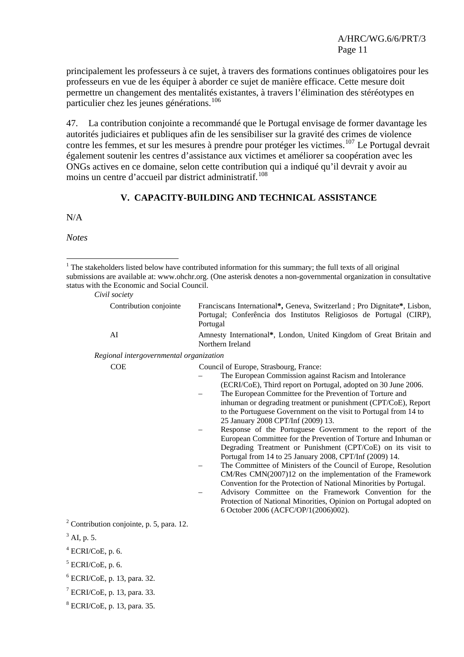principalement les professeurs à ce sujet, à travers des formations continues obligatoires pour les professeurs en vue de les équiper à aborder ce sujet de manière efficace. Cette mesure doit permettre un changement des mentalités existantes, à travers l'élimination des stéréotypes en particulier chez les jeunes générations.<sup>[106](#page-13-1)</sup>

47. La contribution conjointe a recommandé que le Portugal envisage de former davantage les autorités judiciaires et publiques afin de les sensibiliser sur la gravité des crimes de violence contre les femmes, et sur les mesures à prendre pour protéger les victimes.<sup>[107](#page-13-2)</sup> Le Portugal devrait également soutenir les centres d'assistance aux victimes et améliorer sa coopération avec les ONGs actives en ce domaine, selon cette contribution qui a indiqué qu'il devrait y avoir au moins un centre d'accueil par district administratif.<sup>[108](#page-13-3)</sup>

#### **V. CAPACITY-BUILDING AND TECHNICAL ASSISTANCE**

N/A

*Notes* 

 $\overline{a}$ 

<sup>&</sup>lt;sup>1</sup> The stakeholders listed below have contributed information for this summary; the full texts of all original submissions are available at: [www.ohchr.org](http://www.ohchr.org/). (One asterisk denotes a non-governmental organization in consultative status with the Economic and Social Council.

| Civil society |
|---------------|

| Contribution conjointe                               | Franciscans International*, Geneva, Switzerland; Pro Dignitate*, Lisbon,<br>Portugal; Conferência dos Institutos Religiosos de Portugal (CIRP),<br>Portugal                                                                                                                                                                                                                                                                                                                                                                                                                                                                                                                                                                                                                                                                                                                                                                                                                                                                                       |
|------------------------------------------------------|---------------------------------------------------------------------------------------------------------------------------------------------------------------------------------------------------------------------------------------------------------------------------------------------------------------------------------------------------------------------------------------------------------------------------------------------------------------------------------------------------------------------------------------------------------------------------------------------------------------------------------------------------------------------------------------------------------------------------------------------------------------------------------------------------------------------------------------------------------------------------------------------------------------------------------------------------------------------------------------------------------------------------------------------------|
| AI                                                   | Amnesty International*, London, United Kingdom of Great Britain and<br>Northern Ireland                                                                                                                                                                                                                                                                                                                                                                                                                                                                                                                                                                                                                                                                                                                                                                                                                                                                                                                                                           |
| Regional intergovernmental organization              |                                                                                                                                                                                                                                                                                                                                                                                                                                                                                                                                                                                                                                                                                                                                                                                                                                                                                                                                                                                                                                                   |
| <b>COE</b>                                           | Council of Europe, Strasbourg, France:<br>The European Commission against Racism and Intolerance<br>(ECRI/CoE), Third report on Portugal, adopted on 30 June 2006.<br>The European Committee for the Prevention of Torture and<br>inhuman or degrading treatment or punishment (CPT/CoE), Report<br>to the Portuguese Government on the visit to Portugal from 14 to<br>25 January 2008 CPT/Inf (2009) 13.<br>Response of the Portuguese Government to the report of the<br>European Committee for the Prevention of Torture and Inhuman or<br>Degrading Treatment or Punishment (CPT/CoE) on its visit to<br>Portugal from 14 to 25 January 2008, CPT/Inf (2009) 14.<br>The Committee of Ministers of the Council of Europe, Resolution<br>CM/Res CMN(2007)12 on the implementation of the Framework<br>Convention for the Protection of National Minorities by Portugal.<br>Advisory Committee on the Framework Convention for the<br>Protection of National Minorities, Opinion on Portugal adopted on<br>6 October 2006 (ACFC/OP/1(2006)002). |
| <sup>2</sup> Contribution conjointe, p. 5, para. 12. |                                                                                                                                                                                                                                                                                                                                                                                                                                                                                                                                                                                                                                                                                                                                                                                                                                                                                                                                                                                                                                                   |
| $3$ AI, p. 5.                                        |                                                                                                                                                                                                                                                                                                                                                                                                                                                                                                                                                                                                                                                                                                                                                                                                                                                                                                                                                                                                                                                   |
| $4$ ECRI/CoE, p. 6.                                  |                                                                                                                                                                                                                                                                                                                                                                                                                                                                                                                                                                                                                                                                                                                                                                                                                                                                                                                                                                                                                                                   |
| $5$ ECRI/CoE, p. 6.                                  |                                                                                                                                                                                                                                                                                                                                                                                                                                                                                                                                                                                                                                                                                                                                                                                                                                                                                                                                                                                                                                                   |
| <sup>6</sup> ECRI/CoE, p. 13, para. 32.              |                                                                                                                                                                                                                                                                                                                                                                                                                                                                                                                                                                                                                                                                                                                                                                                                                                                                                                                                                                                                                                                   |
| $7$ ECRI/CoE, p. 13, para. 33.                       |                                                                                                                                                                                                                                                                                                                                                                                                                                                                                                                                                                                                                                                                                                                                                                                                                                                                                                                                                                                                                                                   |

8 ECRI/CoE, p. 13, para. 35.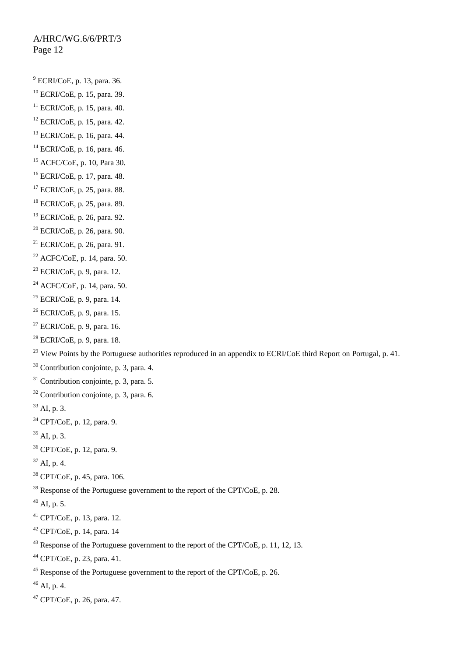-<br>9  $<sup>9</sup>$  ECRI/CoE, p. 13, para. 36.</sup> 10 ECRI/CoE, p. 15, para. 39.  $11$  ECRI/CoE, p. 15, para. 40.  $12$  ECRI/CoE, p. 15, para. 42. 13 ECRI/CoE, p. 16, para. 44. 14 ECRI/CoE, p. 16, para. 46. 15 ACFC/CoE, p. 10, Para 30. 16 ECRI/CoE, p. 17, para. 48. 17 ECRI/CoE, p. 25, para. 88. 18 ECRI/CoE, p. 25, para. 89. 19 ECRI/CoE, p. 26, para. 92.  $20$  ECRI/CoE, p. 26, para. 90. 21 ECRI/CoE, p. 26, para. 91.  $22$  ACFC/CoE, p. 14, para. 50.  $23$  ECRI/CoE, p. 9, para. 12. 24 ACFC/CoE, p. 14, para. 50.  $25$  ECRI/CoE, p. 9, para. 14.  $26$  ECRI/CoE, p. 9, para. 15.  $27$  ECRI/CoE, p. 9, para. 16.  $28$  ECRI/CoE, p. 9, para. 18. <sup>29</sup> View Points by the Portuguese authorities reproduced in an appendix to ECRI/CoE third Report on Portugal, p. 41. 30 Contribution conjointe, p. 3, para. 4.  $31$  Contribution conjointe, p. 3, para. 5.  $32$  Contribution conjointe, p. 3, para. 6.  $33$  AI, p. 3. 34 CPT/CoE, p. 12, para. 9.  $35$  AI, p. 3. 36 CPT/CoE, p. 12, para. 9.  $37$  AI, p. 4. 38 CPT/CoE, p. 45, para. 106.  $39$  Response of the Portuguese government to the report of the CPT/CoE, p. 28.  $^{40}$  AI, p. 5. 41 CPT/CoE, p. 13, para. 12.  $42$  CPT/CoE, p. 14, para. 14 <sup>43</sup> Response of the Portuguese government to the report of the CPT/CoE, p. 11, 12, 13. 44 CPT/CoE, p. 23, para. 41. <sup>45</sup> Response of the Portuguese government to the report of the CPT/CoE, p. 26.  $46$  AI, p. 4. 47 CPT/CoE, p. 26, para. 47.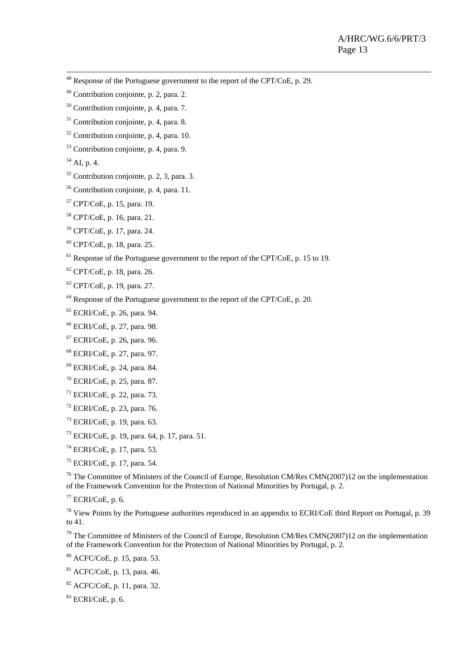- 48 Response of the Portuguese government to the report of the CPT/CoE, p. 29.
- 49 Contribution conjointe, p. 2, para. 2.
- $50$  Contribution conjointe, p. 4, para. 7.
- 51 Contribution conjointe, p. 4, para. 8.
- $52$  Contribution conjointe, p. 4, para. 10.
- 53 Contribution conjointe, p. 4, para. 9.
- $54$  AI, p. 4.
- $55$  Contribution conjointe, p. 2, 3, para. 3.
- 56 Contribution conjointe, p. 4, para. 11.
- 57 CPT/CoE, p. 15, para. 19.
- 58 CPT/CoE, p. 16, para. 21.
- 59 CPT/CoE, p. 17, para. 24.
- 60 CPT/CoE, p. 18, para. 25.
- $<sup>61</sup>$  Response of the Portuguese government to the report of the CPT/CoE, p. 15 to 19.</sup>
- $62$  CPT/CoE, p. 18, para. 26.
- 63 CPT/CoE, p. 19, para. 27.
- $64$  Response of the Portuguese government to the report of the CPT/CoE, p. 20.
- 65 ECRI/CoE, p. 26, para. 94.
- 66 ECRI/CoE, p. 27, para. 98.
- 67 ECRI/CoE, p. 26, para. 96.
- 68 ECRI/CoE, p. 27, para. 97.
- 69 ECRI/CoE, p. 24, para. 84.
- 70 ECRI/CoE, p. 25, para. 87.
- $71$  ECRI/CoE, p. 22, para. 73.  $72$  ECRI/CoE, p. 23, para. 76.
- 73 ECRI/CoE, p. 19, para. 63.
- 
- 73 ECRI/CoE, p. 19, para. 64, p. 17, para. 51.
- $74$  ECRI/CoE, p. 17, para. 53.
- 75 ECRI/CoE, p. 17, para. 54.

<sup>76</sup> The Committee of Ministers of the Council of Europe, Resolution CM/Res CMN(2007)12 on the implementation of the Framework Convention for the Protection of National Minorities by Portugal, p. 2.

 $77$  ECRI/CoE, p. 6.

 $78$  View Points by the Portuguese authorities reproduced in an appendix to ECRI/CoE third Report on Portugal, p. 39 to 41.

<sup>79</sup> The Committee of Ministers of the Council of Europe, Resolution CM/Res CMN(2007)12 on the implementation of the Framework Convention for the Protection of National Minorities by Portugal, p. 2.

80 ACFC/CoE, p. 15, para. 53.

81 ACFC/CoE, p. 13, para. 46.

82 ACFC/CoE, p. 11, para. 32.

 $83$  ECRI/CoE, p. 6.